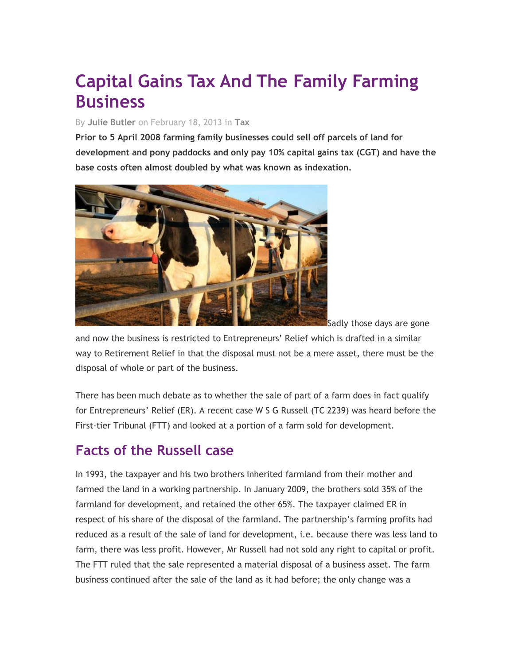# **Capital Gains Tax And The Family Farming Business**

#### By **[Julie Butler](http://www.lawskills.co.uk/articles/author/julie-butler/)** on February 18, 2013 in **[Tax](http://www.lawskills.co.uk/articles/category/tax/)**

**Prior to 5 April 2008 farming family businesses could sell off parcels of land for development and pony paddocks and only pay 10% capital gains tax (CGT) and have the base costs often almost doubled by what was known as indexation.**



and now the business is restricted to Entrepreneurs' Relief which is drafted in a similar way to Retirement Relief in that the disposal must not be a mere asset, there must be the disposal of whole or part of the business.

There has been much debate as to whether the sale of part of a farm does in fact qualify for Entrepreneurs' Relief (ER). A recent case W S G Russell (TC 2239) was heard before the First-tier Tribunal (FTT) and looked at a portion of a farm sold for development.

# **Facts of the Russell case**

In 1993, the taxpayer and his two brothers inherited farmland from their mother and farmed the land in a working partnership. In January 2009, the brothers sold 35% of the farmland for development, and retained the other 65%. The taxpayer claimed ER in respect of his share of the disposal of the farmland. The partnership's farming profits had reduced as a result of the sale of land for development, i.e. because there was less land to farm, there was less profit. However, Mr Russell had not sold any right to capital or profit. The FTT ruled that the sale represented a material disposal of a business asset. The farm business continued after the sale of the land as it had before; the only change was a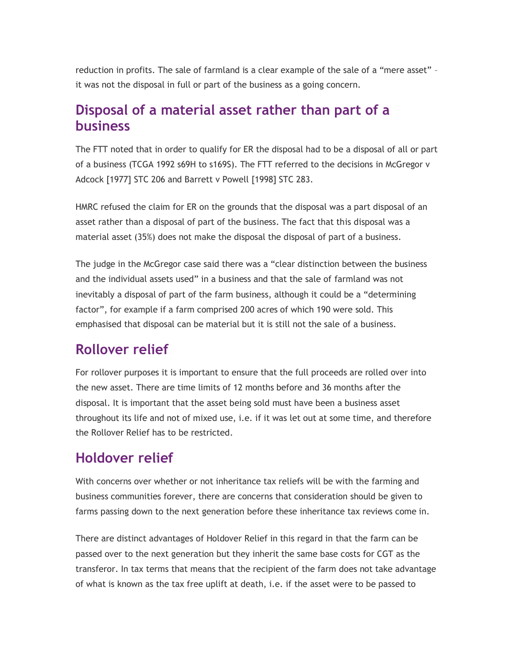reduction in profits. The sale of farmland is a clear example of the sale of a "mere asset" – it was not the disposal in full or part of the business as a going concern.

### **Disposal of a material asset rather than part of a business**

The FTT noted that in order to qualify for ER the disposal had to be a disposal of all or part of a business (TCGA 1992 s69H to s169S). The FTT referred to the decisions in McGregor v Adcock [1977] STC 206 and Barrett v Powell [1998] STC 283.

HMRC refused the claim for ER on the grounds that the disposal was a part disposal of an asset rather than a disposal of part of the business. The fact that this disposal was a material asset (35%) does not make the disposal the disposal of part of a business.

The judge in the McGregor case said there was a "clear distinction between the business and the individual assets used" in a business and that the sale of farmland was not inevitably a disposal of part of the farm business, although it could be a "determining factor", for example if a farm comprised 200 acres of which 190 were sold. This emphasised that disposal can be material but it is still not the sale of a business.

### **Rollover relief**

For rollover purposes it is important to ensure that the full proceeds are rolled over into the new asset. There are time limits of 12 months before and 36 months after the disposal. It is important that the asset being sold must have been a business asset throughout its life and not of mixed use, i.e. if it was let out at some time, and therefore the Rollover Relief has to be restricted.

#### **Holdover relief**

With concerns over whether or not inheritance tax reliefs will be with the farming and business communities forever, there are concerns that consideration should be given to farms passing down to the next generation before these inheritance tax reviews come in.

There are distinct advantages of Holdover Relief in this regard in that the farm can be passed over to the next generation but they inherit the same base costs for CGT as the transferor. In tax terms that means that the recipient of the farm does not take advantage of what is known as the tax free uplift at death, i.e. if the asset were to be passed to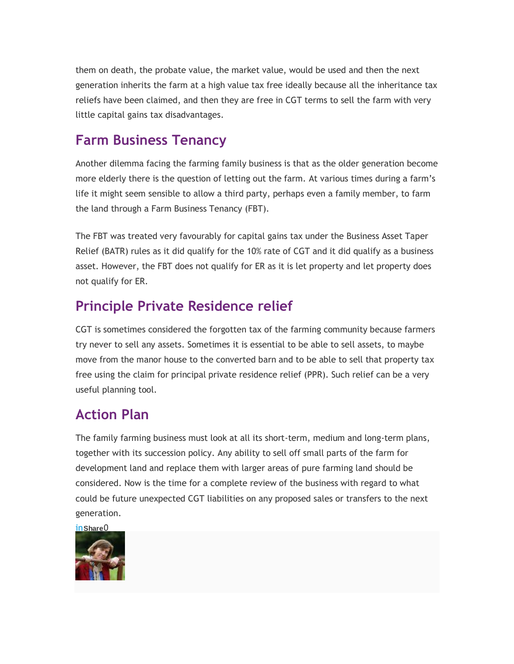them on death, the probate value, the market value, would be used and then the next generation inherits the farm at a high value tax free ideally because all the inheritance tax reliefs have been claimed, and then they are free in CGT terms to sell the farm with very little capital gains tax disadvantages.

# **Farm Business Tenancy**

Another dilemma facing the farming family business is that as the older generation become more elderly there is the question of letting out the farm. At various times during a farm's life it might seem sensible to allow a third party, perhaps even a family member, to farm the land through a Farm Business Tenancy (FBT).

The FBT was treated very favourably for capital gains tax under the Business Asset Taper Relief (BATR) rules as it did qualify for the 10% rate of CGT and it did qualify as a business asset. However, the FBT does not qualify for ER as it is let property and let property does not qualify for ER.

# **Principle Private Residence relief**

CGT is sometimes considered the forgotten tax of the farming community because farmers try never to sell any assets. Sometimes it is essential to be able to sell assets, to maybe move from the manor house to the converted barn and to be able to sell that property tax free using the claim for principal private residence relief (PPR). Such relief can be a very useful planning tool.

# **Action Plan**

The family farming business must look at all its short-term, medium and long-term plans, together with its succession policy. Any ability to sell off small parts of the farm for development land and replace them with larger areas of pure farming land should be considered. Now is the time for a complete review of the business with regard to what could be future unexpected CGT liabilities on any proposed sales or transfers to the next generation.